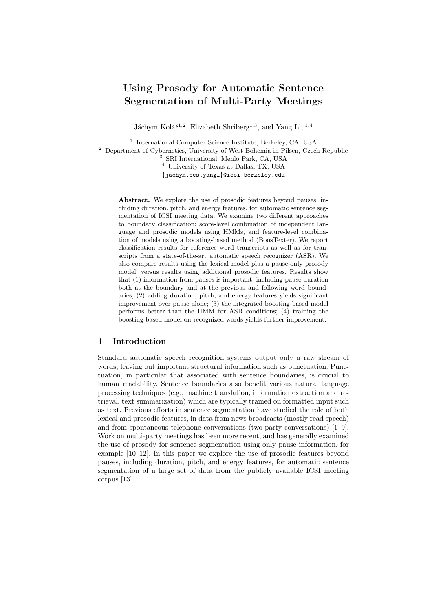# Using Prosody for Automatic Sentence Segmentation of Multi-Party Meetings

Jáchym Kolář<sup>1,2</sup>, Elizabeth Shriberg<sup>1,3</sup>, and Yang Liu<sup>1,4</sup>

<sup>1</sup> International Computer Science Institute, Berkeley, CA, USA

<sup>2</sup> Department of Cybernetics, University of West Bohemia in Pilsen, Czech Republic <sup>3</sup> SRI International, Menlo Park, CA, USA

<sup>4</sup> University of Texas at Dallas, TX, USA

{jachym,ees,yangl}@icsi.berkeley.edu

Abstract. We explore the use of prosodic features beyond pauses, including duration, pitch, and energy features, for automatic sentence segmentation of ICSI meeting data. We examine two different approaches to boundary classification: score-level combination of independent language and prosodic models using HMMs, and feature-level combination of models using a boosting-based method (BoosTexter). We report classification results for reference word transcripts as well as for transcripts from a state-of-the-art automatic speech recognizer (ASR). We also compare results using the lexical model plus a pause-only prosody model, versus results using additional prosodic features. Results show that (1) information from pauses is important, including pause duration both at the boundary and at the previous and following word boundaries; (2) adding duration, pitch, and energy features yields significant improvement over pause alone; (3) the integrated boosting-based model performs better than the HMM for ASR conditions; (4) training the boosting-based model on recognized words yields further improvement.

### 1 Introduction

Standard automatic speech recognition systems output only a raw stream of words, leaving out important structural information such as punctuation. Punctuation, in particular that associated with sentence boundaries, is crucial to human readability. Sentence boundaries also benefit various natural language processing techniques (e.g., machine translation, information extraction and retrieval, text summarization) which are typically trained on formatted input such as text. Previous efforts in sentence segmentation have studied the role of both lexical and prosodic features, in data from news broadcasts (mostly read speech) and from spontaneous telephone conversations (two-party conversations) [1–9]. Work on multi-party meetings has been more recent, and has generally examined the use of prosody for sentence segmentation using only pause information, for example [10–12]. In this paper we explore the use of prosodic features beyond pauses, including duration, pitch, and energy features, for automatic sentence segmentation of a large set of data from the publicly available ICSI meeting corpus [13].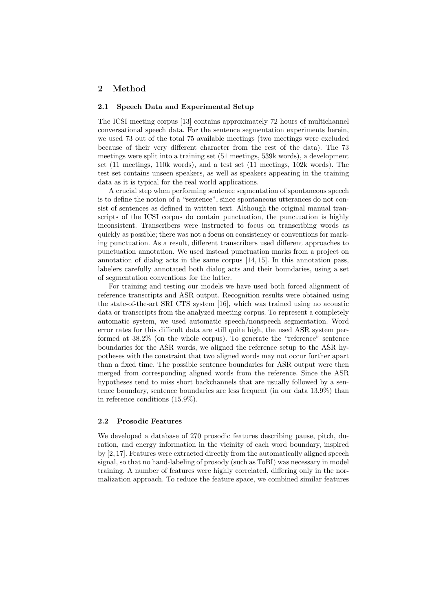# 2 Method

### 2.1 Speech Data and Experimental Setup

The ICSI meeting corpus [13] contains approximately 72 hours of multichannel conversational speech data. For the sentence segmentation experiments herein, we used 73 out of the total 75 available meetings (two meetings were excluded because of their very different character from the rest of the data). The 73 meetings were split into a training set (51 meetings, 539k words), a development set (11 meetings, 110k words), and a test set (11 meetings, 102k words). The test set contains unseen speakers, as well as speakers appearing in the training data as it is typical for the real world applications.

A crucial step when performing sentence segmentation of spontaneous speech is to define the notion of a "sentence", since spontaneous utterances do not consist of sentences as defined in written text. Although the original manual transcripts of the ICSI corpus do contain punctuation, the punctuation is highly inconsistent. Transcribers were instructed to focus on transcribing words as quickly as possible; there was not a focus on consistency or conventions for marking punctuation. As a result, different transcribers used different approaches to punctuation annotation. We used instead punctuation marks from a project on annotation of dialog acts in the same corpus [14, 15]. In this annotation pass, labelers carefully annotated both dialog acts and their boundaries, using a set of segmentation conventions for the latter.

For training and testing our models we have used both forced alignment of reference transcripts and ASR output. Recognition results were obtained using the state-of-the-art SRI CTS system [16], which was trained using no acoustic data or transcripts from the analyzed meeting corpus. To represent a completely automatic system, we used automatic speech/nonspeech segmentation. Word error rates for this difficult data are still quite high, the used ASR system performed at 38.2% (on the whole corpus). To generate the "reference" sentence boundaries for the ASR words, we aligned the reference setup to the ASR hypotheses with the constraint that two aligned words may not occur further apart than a fixed time. The possible sentence boundaries for ASR output were then merged from corresponding aligned words from the reference. Since the ASR hypotheses tend to miss short backchannels that are usually followed by a sentence boundary, sentence boundaries are less frequent (in our data 13.9%) than in reference conditions (15.9%).

### 2.2 Prosodic Features

We developed a database of 270 prosodic features describing pause, pitch, duration, and energy information in the vicinity of each word boundary, inspired by [2, 17]. Features were extracted directly from the automatically aligned speech signal, so that no hand-labeling of prosody (such as ToBI) was necessary in model training. A number of features were highly correlated, differing only in the normalization approach. To reduce the feature space, we combined similar features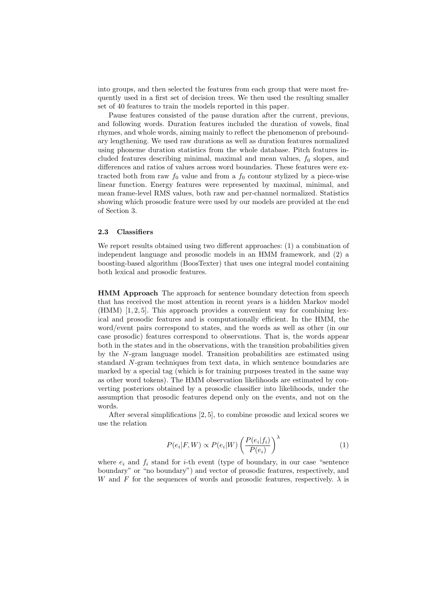into groups, and then selected the features from each group that were most frequently used in a first set of decision trees. We then used the resulting smaller set of 40 features to train the models reported in this paper.

Pause features consisted of the pause duration after the current, previous, and following words. Duration features included the duration of vowels, final rhymes, and whole words, aiming mainly to reflect the phenomenon of preboundary lengthening. We used raw durations as well as duration features normalized using phoneme duration statistics from the whole database. Pitch features included features describing minimal, maximal and mean values,  $f_0$  slopes, and differences and ratios of values across word boundaries. These features were extracted both from raw  $f_0$  value and from a  $f_0$  contour stylized by a piece-wise linear function. Energy features were represented by maximal, minimal, and mean frame-level RMS values, both raw and per-channel normalized. Statistics showing which prosodic feature were used by our models are provided at the end of Section 3.

#### 2.3 Classifiers

We report results obtained using two different approaches: (1) a combination of independent language and prosodic models in an HMM framework, and (2) a boosting-based algorithm (BoosTexter) that uses one integral model containing both lexical and prosodic features.

HMM Approach The approach for sentence boundary detection from speech that has received the most attention in recent years is a hidden Markov model (HMM) [1, 2, 5]. This approach provides a convenient way for combining lexical and prosodic features and is computationally efficient. In the HMM, the word/event pairs correspond to states, and the words as well as other (in our case prosodic) features correspond to observations. That is, the words appear both in the states and in the observations, with the transition probabilities given by the N-gram language model. Transition probabilities are estimated using standard N-gram techniques from text data, in which sentence boundaries are marked by a special tag (which is for training purposes treated in the same way as other word tokens). The HMM observation likelihoods are estimated by converting posteriors obtained by a prosodic classifier into likelihoods, under the assumption that prosodic features depend only on the events, and not on the words.

After several simplifications [2, 5], to combine prosodic and lexical scores we use the relation

$$
P(e_i|F, W) \propto P(e_i|W) \left(\frac{P(e_i|f_i)}{P(e_i)}\right)^{\lambda}
$$
 (1)

where  $e_i$  and  $f_i$  stand for *i*-th event (type of boundary, in our case "sentence boundary" or "no boundary") and vector of prosodic features, respectively, and W and F for the sequences of words and prosodic features, respectively.  $\lambda$  is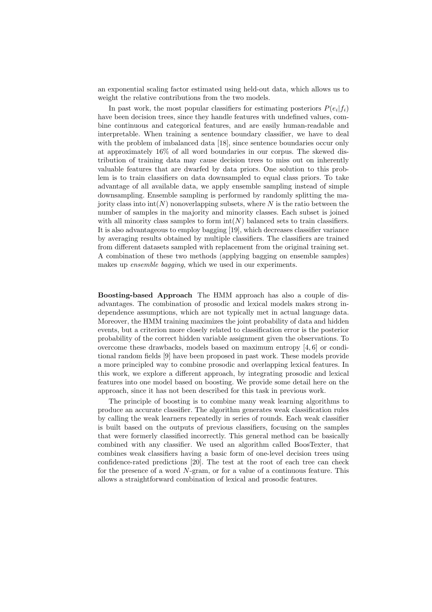an exponential scaling factor estimated using held-out data, which allows us to weight the relative contributions from the two models.

In past work, the most popular classifiers for estimating posteriors  $P(e_i|f_i)$ have been decision trees, since they handle features with undefined values, combine continuous and categorical features, and are easily human-readable and interpretable. When training a sentence boundary classifier, we have to deal with the problem of imbalanced data [18], since sentence boundaries occur only at approximately 16% of all word boundaries in our corpus. The skewed distribution of training data may cause decision trees to miss out on inherently valuable features that are dwarfed by data priors. One solution to this problem is to train classifiers on data downsampled to equal class priors. To take advantage of all available data, we apply ensemble sampling instead of simple downsampling. Ensemble sampling is performed by randomly splitting the majority class into  $\text{int}(N)$  nonoverlapping subsets, where N is the ratio between the number of samples in the majority and minority classes. Each subset is joined with all minority class samples to form  $\text{int}(N)$  balanced sets to train classifiers. It is also advantageous to employ bagging [19], which decreases classifier variance by averaging results obtained by multiple classifiers. The classifiers are trained from different datasets sampled with replacement from the original training set. A combination of these two methods (applying bagging on ensemble samples) makes up *ensemble bagging*, which we used in our experiments.

Boosting-based Approach The HMM approach has also a couple of disadvantages. The combination of prosodic and lexical models makes strong independence assumptions, which are not typically met in actual language data. Moreover, the HMM training maximizes the joint probability of data and hidden events, but a criterion more closely related to classification error is the posterior probability of the correct hidden variable assignment given the observations. To overcome these drawbacks, models based on maximum entropy [4, 6] or conditional random fields [9] have been proposed in past work. These models provide a more principled way to combine prosodic and overlapping lexical features. In this work, we explore a different approach, by integrating prosodic and lexical features into one model based on boosting. We provide some detail here on the approach, since it has not been described for this task in previous work.

The principle of boosting is to combine many weak learning algorithms to produce an accurate classifier. The algorithm generates weak classification rules by calling the weak learners repeatedly in series of rounds. Each weak classifier is built based on the outputs of previous classifiers, focusing on the samples that were formerly classified incorrectly. This general method can be basically combined with any classifier. We used an algorithm called BoosTexter, that combines weak classifiers having a basic form of one-level decision trees using confidence-rated predictions [20]. The test at the root of each tree can check for the presence of a word  $N$ -gram, or for a value of a continuous feature. This allows a straightforward combination of lexical and prosodic features.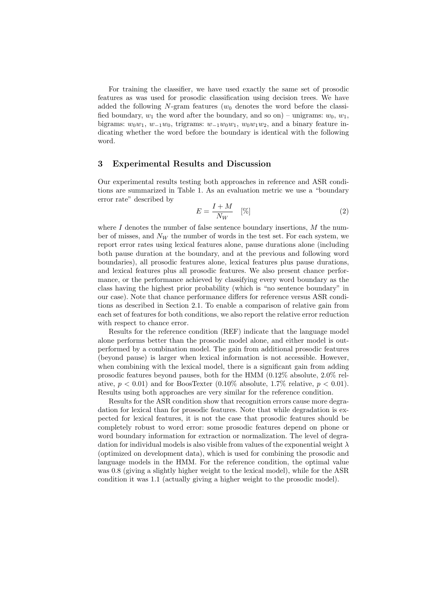For training the classifier, we have used exactly the same set of prosodic features as was used for prosodic classification using decision trees. We have added the following  $N$ -gram features  $(w_0$  denotes the word before the classified boundary,  $w_1$  the word after the boundary, and so on) – unigrams:  $w_0, w_1$ , bigrams:  $w_0w_1$ ,  $w_{-1}w_0$ , trigrams:  $w_{-1}w_0w_1$ ,  $w_0w_1w_2$ , and a binary feature indicating whether the word before the boundary is identical with the following word.

### 3 Experimental Results and Discussion

Our experimental results testing both approaches in reference and ASR conditions are summarized in Table 1. As an evaluation metric we use a "boundary error rate" described by

$$
E = \frac{I + M}{N_W} \quad [\%]
$$
 (2)

where I denotes the number of false sentence boundary insertions,  $M$  the number of misses, and  $N_W$  the number of words in the test set. For each system, we report error rates using lexical features alone, pause durations alone (including both pause duration at the boundary, and at the previous and following word boundaries), all prosodic features alone, lexical features plus pause durations, and lexical features plus all prosodic features. We also present chance performance, or the performance achieved by classifying every word boundary as the class having the highest prior probability (which is "no sentence boundary" in our case). Note that chance performance differs for reference versus ASR conditions as described in Section 2.1. To enable a comparison of relative gain from each set of features for both conditions, we also report the relative error reduction with respect to chance error.

Results for the reference condition (REF) indicate that the language model alone performs better than the prosodic model alone, and either model is outperformed by a combination model. The gain from additional prosodic features (beyond pause) is larger when lexical information is not accessible. However, when combining with the lexical model, there is a significant gain from adding prosodic features beyond pauses, both for the HMM (0.12% absolute, 2.0% relative,  $p < 0.01$ ) and for BoosTexter (0.10% absolute, 1.7% relative,  $p < 0.01$ ). Results using both approaches are very similar for the reference condition.

Results for the ASR condition show that recognition errors cause more degradation for lexical than for prosodic features. Note that while degradation is expected for lexical features, it is not the case that prosodic features should be completely robust to word error: some prosodic features depend on phone or word boundary information for extraction or normalization. The level of degradation for individual models is also visible from values of the exponential weight  $\lambda$ (optimized on development data), which is used for combining the prosodic and language models in the HMM. For the reference condition, the optimal value was 0.8 (giving a slightly higher weight to the lexical model), while for the ASR condition it was 1.1 (actually giving a higher weight to the prosodic model).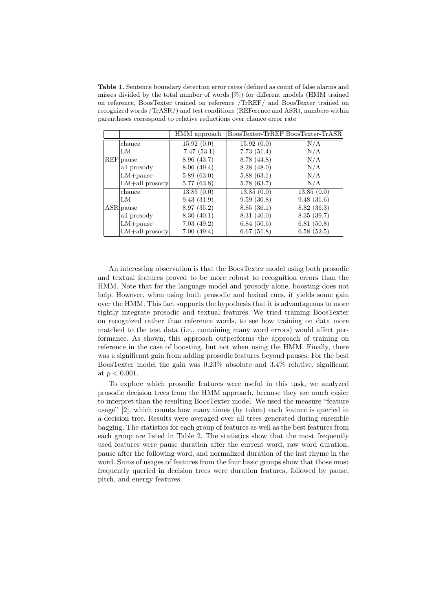Table 1. Sentence boundary detection error rates (defined as count of false alarms and misses divided by the total number of words [%]) for different models (HMM trained on reference, BoosTexter trained on reference /TrREF/ and BoosTexter trained on recognized words /TrASR/) and test conditions (REFerence and ASR), numbers within parentheses correspond to relative reductions over chance error rate

|  |                     | HMM approach |             | BoosTexter-TrREF BoosTexter-TrASR |
|--|---------------------|--------------|-------------|-----------------------------------|
|  | chance              | 15.92(0.0)   | 15.92(0.0)  | N/A                               |
|  | LM                  | 7.47(53.1)   | 7.73(51.4)  | N/A                               |
|  | REF pause           | 8.96(43.7)   | 8.78 (44.8) | N/A                               |
|  | all prosody         | 8.06(49.4)   | 8.28(48.0)  | N/A                               |
|  | $LM + \text{pause}$ | 5.89(63.0)   | 5.88(63.1)  | N/A                               |
|  | LM+all prosody      | 5.77(63.8)   | 5.78(63.7)  | N/A                               |
|  | chance              | 13.85(0.0)   | 13.85(0.0)  | 13.85(0.0)                        |
|  | LM                  | 9.43(31.9)   | 9.59(30.8)  | 9.48(31.6)                        |
|  | ASR pause           | 8.97(35.2)   | 8.85(36.1)  | 8.82(36.3)                        |
|  | all prosody         | 8.30(40.1)   | 8.31(40.0)  | 8.35(39.7)                        |
|  | $LM + \text{pause}$ | 7.03(49.2)   | 6.84(50.6)  | 6.81(50.8)                        |
|  | $LM+all$ prosody    | 7.00(49.4)   | 6.67(51.8)  | 6.58(52.5)                        |

An interesting observation is that the BoosTexter model using both prosodic and textual features proved to be more robust to recognition errors than the HMM. Note that for the language model and prosody alone, boosting does not help. However, when using both prosodic and lexical cues, it yields some gain over the HMM. This fact supports the hypothesis that it is advantageous to more tightly integrate prosodic and textual features. We tried training BoosTexter on recognized rather than reference words, to see how training on data more matched to the test data (i.e., containing many word errors) would affect performance. As shown, this approach outperforms the approach of training on reference in the case of boosting, but not when using the HMM. Finally, there was a significant gain from adding prosodic features beyond pauses. For the best BoosTexter model the gain was 0.23% absolute and 3.4% relative, significant at  $p < 0.001$ .

To explore which prosodic features were useful in this task, we analyzed prosodic decision trees from the HMM approach, because they are much easier to interpret than the resulting BoosTexter model. We used the measure "feature usage" [2], which counts how many times (by token) each feature is queried in a decision tree. Results were averaged over all trees generated during ensemble bagging. The statistics for each group of features as well as the best features from each group are listed in Table 2. The statistics show that the most frequently used features were pause duration after the current word, raw word duration, pause after the following word, and normalized duration of the last rhyme in the word. Sums of usages of features from the four basic groups show that those most frequently queried in decision trees were duration features, followed by pause, pitch, and energy features.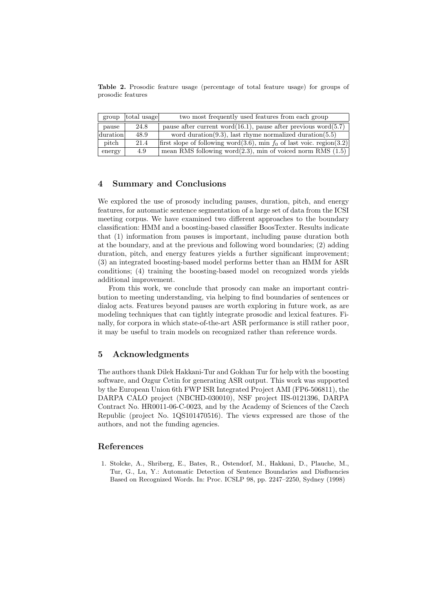Table 2. Prosodic feature usage (percentage of total feature usage) for groups of prosodic features

| group    | total usage | two most frequently used features from each group                       |
|----------|-------------|-------------------------------------------------------------------------|
| pause    | 24.8        | pause after current word $(16.1)$ , pause after previous word $(5.7)$   |
| duration | 48.9        | word duration(9.3), last rhyme normalized duration(5.5)                 |
| pitch    | 21.4        | first slope of following word(3.6), min $f_0$ of last voic. region(3.2) |
| energy   | 4.9         | mean RMS following word $(2.3)$ , min of voiced norm RMS $(1.5)$        |

# 4 Summary and Conclusions

We explored the use of prosody including pauses, duration, pitch, and energy features, for automatic sentence segmentation of a large set of data from the ICSI meeting corpus. We have examined two different approaches to the boundary classification: HMM and a boosting-based classifier BoosTexter. Results indicate that (1) information from pauses is important, including pause duration both at the boundary, and at the previous and following word boundaries; (2) adding duration, pitch, and energy features yields a further significant improvement; (3) an integrated boosting-based model performs better than an HMM for ASR conditions; (4) training the boosting-based model on recognized words yields additional improvement.

From this work, we conclude that prosody can make an important contribution to meeting understanding, via helping to find boundaries of sentences or dialog acts. Features beyond pauses are worth exploring in future work, as are modeling techniques that can tightly integrate prosodic and lexical features. Finally, for corpora in which state-of-the-art ASR performance is still rather poor, it may be useful to train models on recognized rather than reference words.

### 5 Acknowledgments

The authors thank Dilek Hakkani-Tur and Gokhan Tur for help with the boosting software, and Ozgur Cetin for generating ASR output. This work was supported by the European Union 6th FWP ISR Integrated Project AMI (FP6-506811), the DARPA CALO project (NBCHD-030010), NSF project IIS-0121396, DARPA Contract No. HR0011-06-C-0023, and by the Academy of Sciences of the Czech Republic (project No. 1QS101470516). The views expressed are those of the authors, and not the funding agencies.

### References

1. Stolcke, A., Shriberg, E., Bates, R., Ostendorf, M., Hakkani, D., Plauche, M., Tur, G., Lu, Y.: Automatic Detection of Sentence Boundaries and Disfluencies Based on Recognized Words. In: Proc. ICSLP 98, pp. 2247–2250, Sydney (1998)